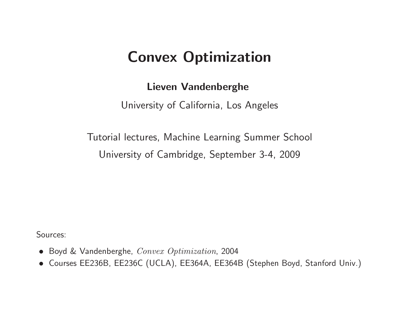# Convex Optimization

#### Lieven Vandenberghe

University of California, Los Angeles

Tutorial lectures, Machine Learning Summer School University of Cambridge, September 3-4, <sup>2009</sup>

Sources:

- Boyd & Vandenberghe, Convex Optimization, <sup>2004</sup>
- Courses EE236B, EE236C (UCLA), EE364A, EE364B (Stephen Boyd, Stanford Univ.)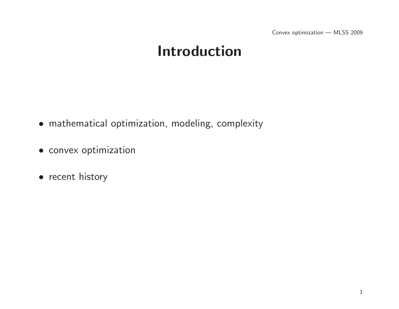Convex optimization — MLSS <sup>2009</sup>

# Introduction

- mathematical optimization, modeling, complexity
- convex optimization
- recent history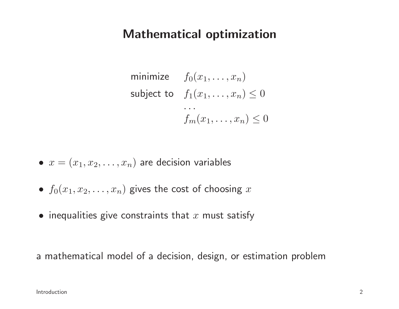### Mathematical optimization

minimize  $f_0(x_1, \dots, x_n)$ subject to  $f_1(x_1, \ldots, x_n) \leq 0$  . . .  $f_m(x_1, \ldots, x_n) \leq 0$ 

- $\bullet\,\,x=(x_1,x_2,\ldots,x_n)$  are decision variables
- $\bullet$   $f_0(x_1, x_2, \ldots, x_n)$  gives the cost of choosing  $x$
- $\bullet\,$  inequalities give constraints that  $x$  must satisfy

<sup>a</sup> mathematical model of <sup>a</sup> decision, design, or estimation problem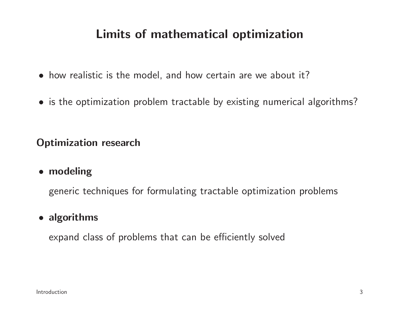### Limits of mathematical optimization

- how realistic is the model, and how certain are we about it?
- is the optimization problem tractable by existing numerical algorithms?

Optimization research

• modeling

generic techniques for formulating tractable optimization problems

### • algorithms

expand class of problems that can be efficiently solved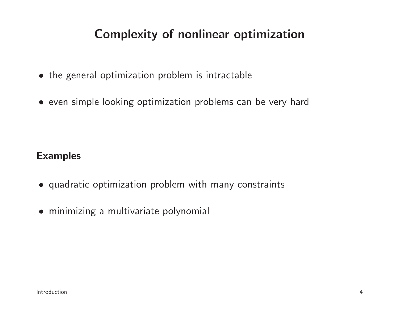### Complexity of nonlinear optimization

- the genera<sup>l</sup> optimization problem is intractable
- even simple looking optimization problems can be very hard

#### Examples

- quadratic optimization problem with many constraints
- minimizing <sup>a</sup> multivariate polynomial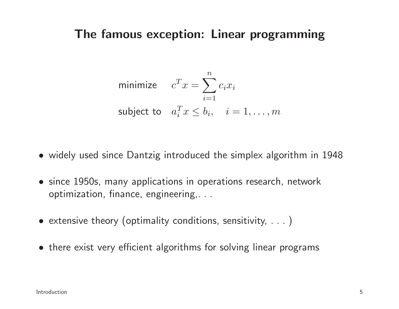#### The famous exception: Linear programming

minimize 
$$
c^T x = \sum_{i=1}^n c_i x_i
$$
  
subject to  $a_i^T x \leq b_i$ ,  $i = 1, ..., m$ 

- widely used since Dantzig introduced the simplex algorithm in <sup>194</sup> 8
- since 1950s, many applications in operations research, network optimization, finance, engineering,. . .
- extensive theory (optimality conditions, sensitivity, . . . )
- there exist very efficient algorithms for solving linear programs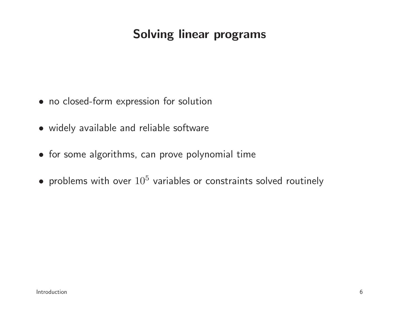### Solving linear programs

- no closed-form expression for solution
- widely available and reliable software
- for some algorithms, can prove polynomial time
- problems with over  $10^5$  variables or constraints solved routinely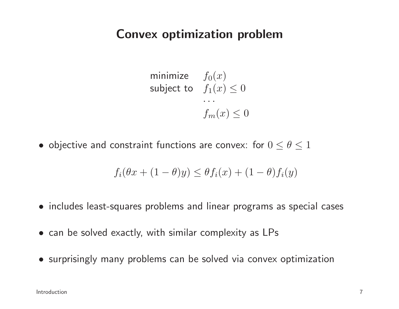#### Convex optimization problem

$$
\begin{array}{ll}\text{minimize} & f_0(x) \\ \text{subject to} & f_1(x) \le 0 \\ & \dots \\ & f_m(x) \le 0 \end{array}
$$

 $\bullet$  objective and constraint functions are convex: for  $0\leq\theta\leq1$ 

$$
f_i(\theta x + (1 - \theta)y) \leq \theta f_i(x) + (1 - \theta)f_i(y)
$$

- includes least-squares problems and linear programs as special cases
- can be solved exactly, with similar complexity as LPs
- surprisingly many problems can be solved via convex optimization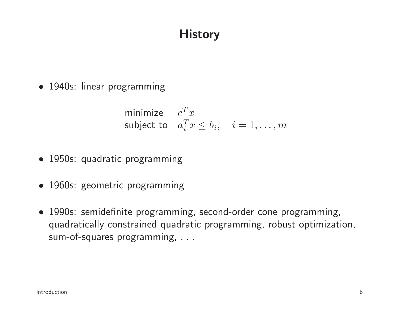### **History**

• 1940s: linear programming

minimize 
$$
c^T x
$$
  
subject to  $a_i^T x \le b_i$ ,  $i = 1,...,m$ 

- 1950s: quadratic programming
- 1960s: geometric programming
- 1990s: semidefinite programming, second-order cone programming, quadratically constrained quadratic programming, robust optimization, sum-of-squares programming, . . .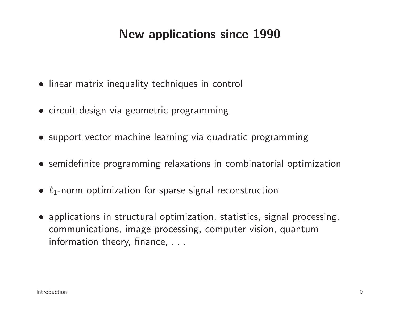### New applications since <sup>1990</sup>

- linear matrix inequality techniques in control
- circuit design via geometric programming
- support vector machine learning via quadratic programming
- semidefinite programming relaxations in combinatorial optimization
- $\bullet$   $\ell_1$ -norm optimization for sparse signal reconstruction
- applications in structural optimization, statistics, signal processing, communications, image processing, computer vision, quantuminformation theory, finance, . . .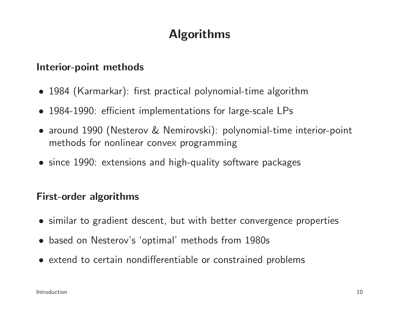# Algorithms

#### Interior-point methods

- <sup>1984</sup> (Karmarkar): first practical polynomial-time algorithm
- 1984-1990: efficient implementations for large-scale LPs
- around <sup>1990</sup> (Nesterov & Nemirovski): polynomial-time interior-point methods for nonlinear convex programming
- since 1990: extensions and high-quality software packages

#### First-order algorithms

- similar to gradient descent, but with better convergence properties
- based on Nesterov's 'optimal' methods from 1980s
- extend to certain nondifferentiable or constrained problems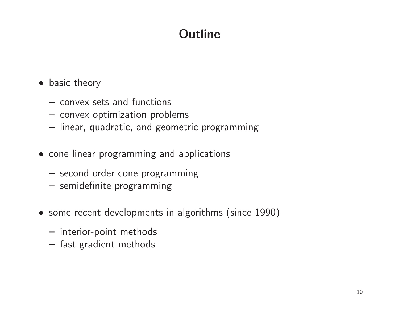# **Outline**

- basic theory
	- convex sets and functions
	- convex optimization problems
	- linear, quadratic, and geometric programming
- cone linear programming and applications
	- second-order cone programming
	- semidefinite programming
- some recent developments in algorithms (since 1990)
	- interior-point methods
	- fast gradient methods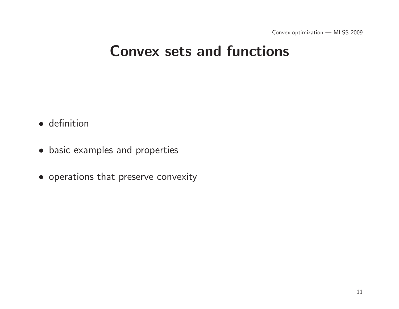# Convex sets and functions

- definition
- basic examples and properties
- operations that preserve convexity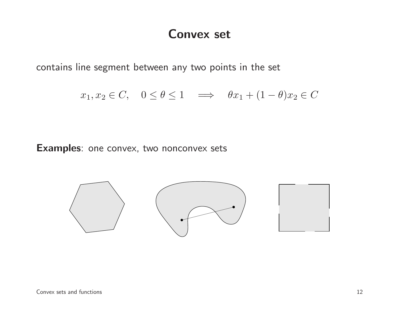#### Convex set

contains line segment between any two points in the set

 $x_1, x_2 \in C$ ,  $0 \le \theta \le 1 \implies \theta x_1 + (1 - \theta)x_2 \in C$ 

Examples: one convex, two nonconvex sets

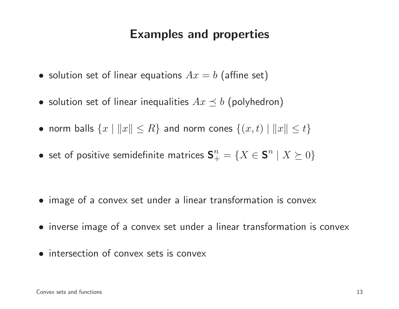### Examples and properties

- $\bullet\,$  solution set of linear equations  $Ax=b$  (affine set)
- $\bullet\,$  solution set of linear inequalities  $Ax\preceq b$  (polyhedron)
- norm balls  $\{x \mid ||x|| \leq R\}$  and norm cones  $\{(x, t) \mid ||x|| \leq t\}$
- $\bullet\,$  set of positive semidefinite matrices  ${\bf S}^n_+$  $\frac{n}{+}=\{X\in\mathbf{S}^n$  $^{n} \mid X \succeq 0 \}$

- image of <sup>a</sup> convex set under <sup>a</sup> linear transformation is convex
- inverse image of <sup>a</sup> convex set under <sup>a</sup> linear transformation is convex
- intersection of convex sets is convex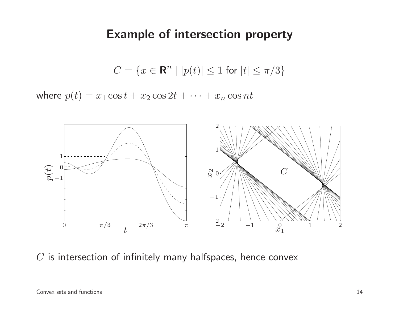#### Example of intersection property

 $C=\{x\in{\bf R}^n\mid |p(t)|\leq 1$  for  $|t|\leq \pi/3\}$ 

where  $p(t) = x_1 \cos t + x_2 \cos 2t + \cdots + x_n$  $_n \cos nt$ 



 $C$  is intersection of infinitely many halfspaces, hence convex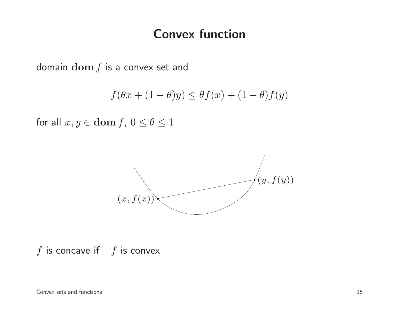#### Convex function

domain  $\mathbf{dom}\, f$  is a convex set and

$$
f(\theta x + (1 - \theta)y) \le \theta f(x) + (1 - \theta)f(y)
$$

for all  $x, y \in \textbf{dom}\, f$ ,  $0 \le \theta \le 1$ 



 $f$  is concave if  $-f$  is convex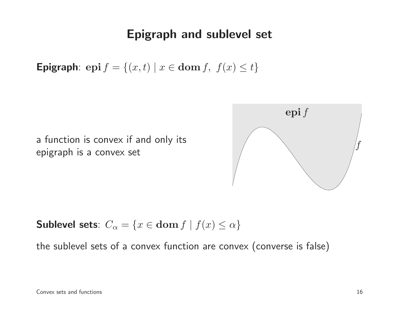### Epigraph and sublevel set

Epigraph: epi $f = \{(x, t) | x \in \text{dom } f, f(x) \le t\}$ 

<sup>a</sup> function is convex if and only itsepigraph is <sup>a</sup> convex set



Sublevel sets:  $C_{\alpha} = \{x \in \textbf{dom} f \mid f(x) \leq \alpha\}$ 

the sublevel sets of <sup>a</sup> convex function are convex (converse is false)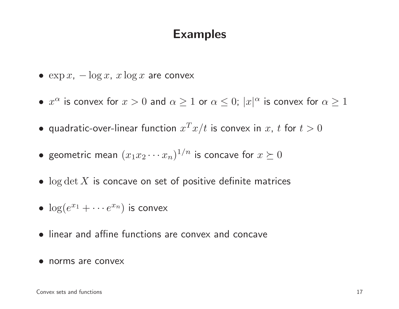### Examples

- $\exp x$ ,  $-\log x$ ,  $x \log x$  are convex
- $\bullet \; x^{\alpha}$  is convex for  $x > 0$  and  $\alpha \geq 1$  or  $\alpha \leq 0$ ;  $|x|^{\alpha}$  is convex for  $\alpha \geq 1$
- quadratic-over-linear function  $x^T x/t$  is convex in  $x$ ,  $t$  for  $t > 0$
- geometric mean  $(x_1x_2\cdots x_n)^{1/n}$  is concave for  $x\succeq 0$
- $\bullet\;\log\det X$  is concave on set of positive definite matrices
- $\log(e^{x_1} + \cdots e^{x_n})$  is convex
- linear and affine functions are convex and concave
- norms are convex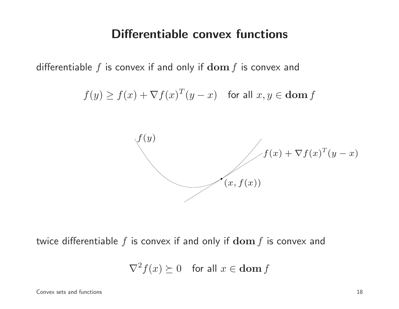#### Differentiable convex functions

differentiable  $f$  is convex if and only if  $\mathbf{dom}\,f$  is convex and

$$
f(y) \ge f(x) + \nabla f(x)^T (y - x) \quad \text{for all } x, y \in \text{dom } f
$$



twice differentiable  $f$  is convex if and only if  $\mathbf{dom}\,f$  is convex and

$$
\nabla^2 f(x) \succeq 0 \quad \text{for all } x \in \text{dom } f
$$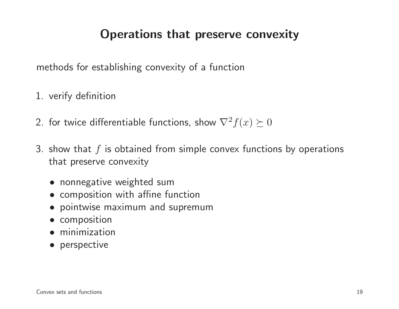### Operations that preserve convexity

methods for establishing convexity of <sup>a</sup> function

- 1. verify definition
- 2. for twice differentiable functions, show  $\nabla^2$  $f(x)\succeq0$
- 3. show that  $f$  is obtained from simple convex functions by operations that preserve convexity
	- nonnegative weighted sum
	- composition with affine function
	- pointwise maximum and supremum
	- composition
	- minimization
	- perspective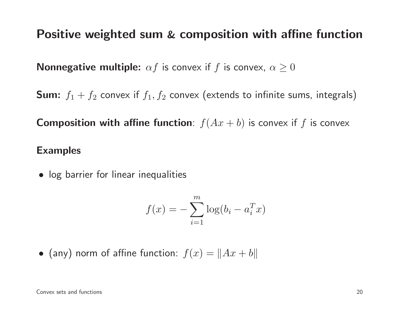# Positive weighted sum & composition with affine function

**Nonnegative multiple:**  $\alpha f$  is convex if  $f$  is convex,  $\alpha \geq 0$ 

 $\textsf{Sum:} \ \ f_1 + f_2 \ \textsf{convex} \ \text{if} \ f_1, f_2 \ \textsf{convex} \ \text{(extends to infinite sums, integrals)}$ 

**Composition with affine function**:  $f(Ax + b)$  is convex if  $f$  is convex

#### Examples

• log barrier for linear inequalities

$$
f(x) = -\sum_{i=1}^{m} \log(b_i - a_i^T x)
$$

 $\bullet$  (any) norm of affine function:  $f(x) = \|Ax + b\|$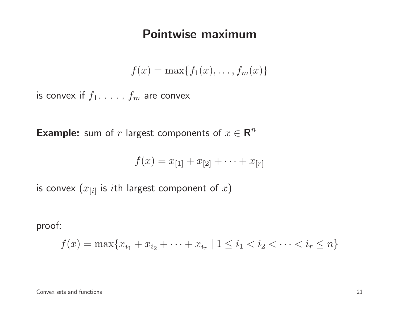#### Pointwise maximum

$$
f(x) = \max\{f_1(x), \ldots, f_m(x)\}\
$$

is convex if  $f_1, \ldots$  ,  $f_m$  are convex

**Example:** sum of  $r$  largest components of  $x \in \mathbb{R}^n$ 

$$
f(x) = x_{[1]} + x_{[2]} + \cdots + x_{[r]}
$$

is convex  $(x_{[i]}$  is  $i\mathsf{th}$  largest component of  $x)$ 

proof:

$$
f(x) = \max\{x_{i_1} + x_{i_2} + \dots + x_{i_r} \mid 1 \le i_1 < i_2 < \dots < i_r \le n\}
$$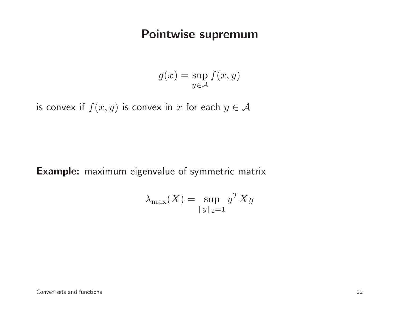### Pointwise supremum

$$
g(x) = \sup_{y \in \mathcal{A}} f(x, y)
$$

is convex if  $f(x,y)$  is convex in  $x$  for each  $y \in A$ 

Example: maximum eigenvalue of symmetric matrix

$$
\lambda_{\max}(X) = \sup_{\|y\|_2 = 1} y^T X y
$$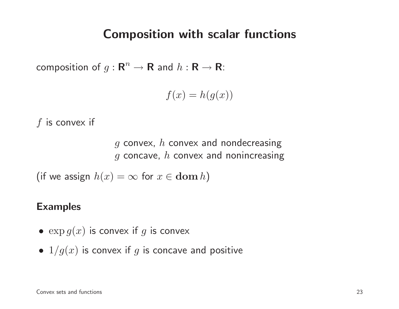#### Composition with scalar functions

composition of  $g: \mathbf{R}^n$  $\mathbb{R}^n \to \mathbf{R}$  and  $h: \mathbf{R} \to \mathbf{R}$ :

$$
f(x) = h(g(x))
$$

$$
f
$$
 is convex if

 $g$  convex,  $h$  convex and nondecreasing  $g$  concave,  $h$  convex and nonincreasing

(if we assign  $h(x) = \infty$  for  $x \in \textbf{dom } h$ )

#### Examples

- $\bullet \ \exp g(x)$  is convex if  $g$  is convex
- $\bullet$   $\,1/g(x)$  is convex if  $g$  is concave and positive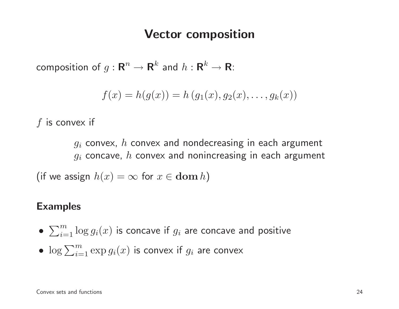#### Vector composition

composition of  $g: \mathbf{R}^n \to \mathbf{R}^k$  and  $h: \mathbf{R}^k \to \mathbf{R}$ :

$$
f(x) = h(g(x)) = h(g_1(x), g_2(x), \dots, g_k(x))
$$

 $f$  is convex if

 $g_i$  convex,  $h$  convex and nondecreasing in each argument  $\,g_i$  concave,  $h$  convex and nonincreasing in each argument

(if we assign  $h(x) = \infty$  for  $x \in \textbf{dom } h$ )

#### Examples

- $\bullet \ \sum_{i=1}^m \log g_i(x)$  is concave if  $g_i$  are concave and positive
- $\bullet \ \log \sum_{i=1}^m \exp g_i(x)$  is convex if  $g_i$  are convex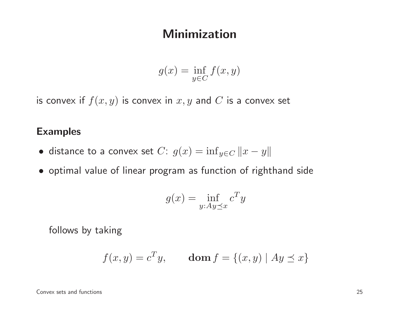#### Minimization

$$
g(x) = \inf_{y \in C} f(x, y)
$$

is convex if  $f(x,y)$  is convex in  $x,y$  and  $C$  is a convex set

#### Examples

- distance to a convex set  $C: g(x) = \inf_{y \in C} ||x y||$
- optimal value of linear program as function of righthand side

$$
g(x) = \inf_{y:Ay \preceq x} c^T y
$$

follows by taking

$$
f(x,y) = c^T y, \qquad \text{dom } f = \{(x,y) \mid Ay \preceq x\}
$$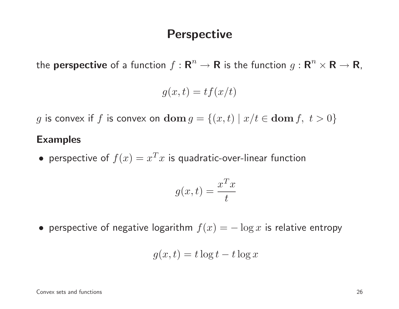#### **Perspective**

the **perspective** of a function  $f : \mathbf{R}^n \to \mathbf{R}$  is the function  $g : \mathbf{R}^n \times \mathbf{R} \to \mathbf{R}$ ,

$$
g(x,t) = tf(x/t)
$$

g is convex if  $f$  is convex on  $\textbf{dom} \, g = \{(x, t) \mid x/t \in \textbf{dom} \, f, \ t > 0\}$ 

#### Examples

• perspective of  $f(x) = x^T x$  is quadratic-over-linear function

$$
g(x,t) = \frac{x^T x}{t}
$$

• perspective of negative logarithm  $f(x) = -\log x$  is relative entropy

$$
g(x,t) = t \log t - t \log x
$$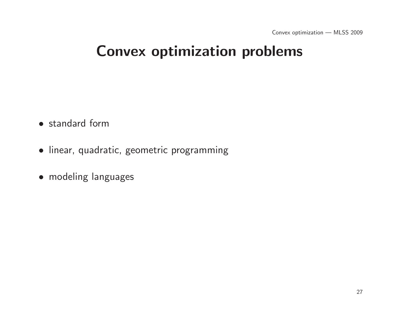# Convex optimization problems

- standard form
- linear, quadratic, geometric programming
- modeling languages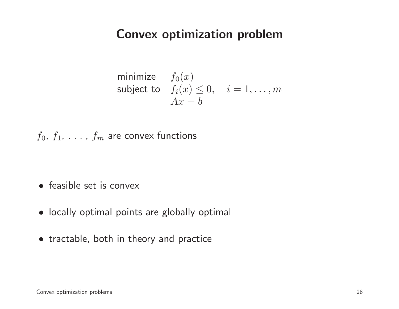### Convex optimization problem

minimize 
$$
f_0(x)
$$
  
subject to  $f_i(x) \le 0$ ,  $i = 1,..., m$   
 $Ax = b$ 

 $f_0,~f_1,~\ldots~,~f_m$  are convex functions

- feasible set is convex
- locally optimal points are <sup>g</sup>lobally optimal
- tractable, both in theory and practice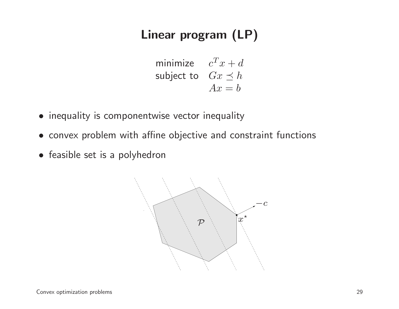### Linear program (LP)

minimize 
$$
c^T x + d
$$
  
subject to  $Gx \preceq h$   
 $Ax = b$ 

- inequality is componentwise vector inequality
- convex problem with affine objective and constraint functions
- feasible set is <sup>a</sup> polyhedron

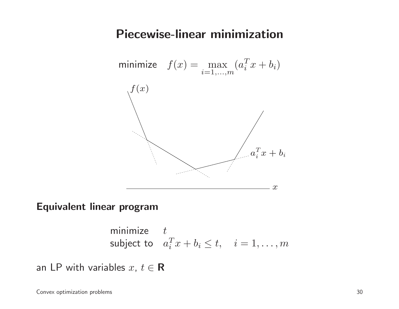#### Piecewise-linear minimization



#### Equivalent linear program

minimize 
$$
t
$$
  
subject to  $a_i^T x + b_i \le t, \quad i = 1, ..., m$ 

an LP with variables  $x,~t\in\mathbf{R}$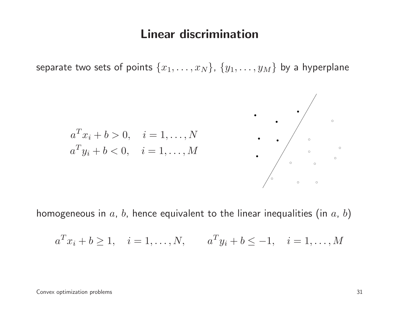#### Linear discrimination

separate two sets of points  $\{x_1, \ldots, x_N\}$ ,  $\{y_1, \ldots, y_M\}$  by a hyperplane



homogeneous in  $a,\,b,$  hence equivalent to the linear inequalities (in  $a,\,b)$ 

$$
a^T x_i + b \ge 1
$$
,  $i = 1,..., N$ ,  $a^T y_i + b \le -1$ ,  $i = 1,..., M$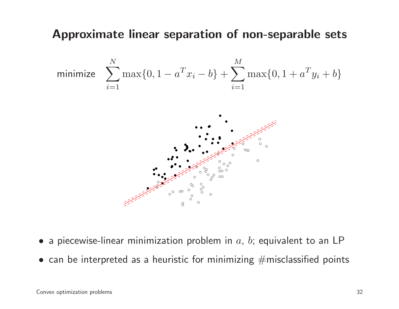#### Approximate linear separation of non-separable sets



- $\bullet\,$  a piecewise-linear minimization problem in  $a,\,b;$  equivalent to an <code>LP</code>
- $\bullet\,$  can be interpreted as a heuristic for minimizing  $\#$ misclassified points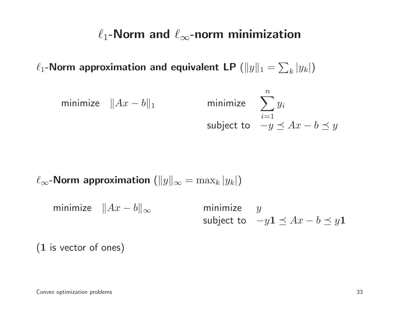# $\ell_1\text{-}\mathsf{Norm}$  and  $\ell_\infty\text{-}\mathsf{norm}$  minimization

 $\ell_1\text{-}\mathsf{Norm}$  approximation and equivalent LP  $(\|y\|_1 = \sum_k |y_k|)$ 

minimize 
$$
||Ax - b||_1
$$
 minimize  $\sum_{i=1}^{n} y_i$   
subject to  $-y \preceq Ax - b \preceq y$ 

 $\ell_{\infty}$ -Norm approximation  $(\|y\|_{\infty} = \max_{k} |y_k|)$ 

minimize  $\|Ax - b\|_{\infty}$ minimize  $y$ subject to  $-y\mathbf{1} \preceq Ax - b \preceq y\mathbf{1}$ 

 $(1\;$  is vector of ones)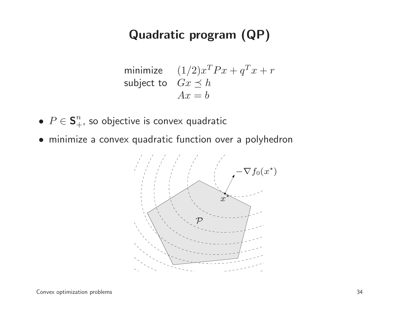### Quadratic program (QP)

minimize 
$$
(1/2)x^T P x + q^T x + r
$$
  
subject to  $Gx \leq h$   
 $Ax = b$ 

- $\bullet$   $P\in\mathbf{S}^n_{+}$  $\frac{n}{+}$ , so objective is convex quadratic
- minimize <sup>a</sup> convex quadratic function over <sup>a</sup> polyhedron

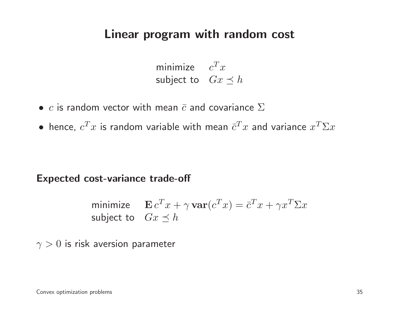### Linear program with random cost

minimize  $c^T$ subject to  $Gx\preceq h$  $\overline{\phantom{a}}^{\phantom{a}}$ 

- $\bullet$   $\,c$  is random vector with mean  $\bar c$  and covariance  $\Sigma$
- $\bullet$  hence,  $c^T$  ${}^{\!T} x$  is random variable with mean  $\bar{c}^T$  ${}^{\overline{T}} x$  and variance  $x^T$  ${}^{T}\Sigma x$

#### Expected cost-variance trade-off

minimize 
$$
\mathbf{E} c^T x + \gamma \mathbf{var}(c^T x) = \bar{c}^T x + \gamma x^T \Sigma x
$$
  
subject to  $Gx \leq h$ 

 $\gamma>0$  is risk aversion parameter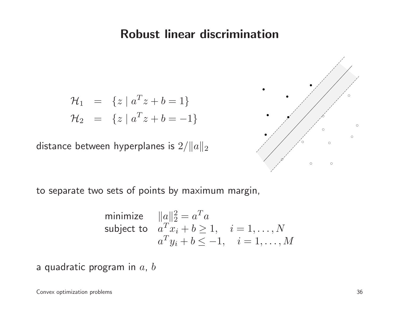### Robust linear discrimination

$$
\mathcal{H}_1 = \{ z \mid a^T z + b = 1 \}
$$
  

$$
\mathcal{H}_2 = \{ z \mid a^T z + b = -1 \}
$$

distance between hyperplanes is  $2/\|a\|_2$ 



to separate two sets of points by maximum margin,

minimize 
$$
||a||_2^2 = a^T a
$$
  
subject to  $a^T x_i + b \ge 1$ ,  $i = 1,..., N$   
 $a^T y_i + b \le -1$ ,  $i = 1,..., M$ 

a quadratic program in  $a,\,b$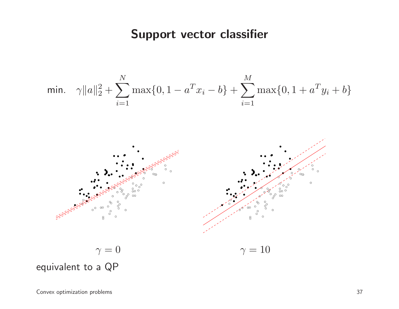### Support vector classifier

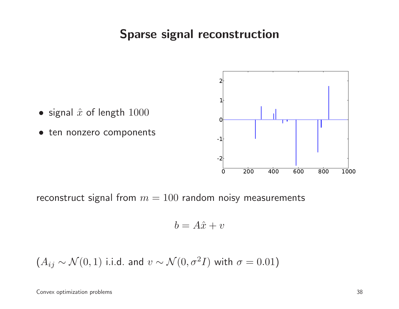## Sparse signal reconstruction



reconstruct signal from  $m = 100$  random noisy measurements

$$
b = A\hat{x} + v
$$

$$
(A_{ij} \sim \mathcal{N}(0, 1)
$$
 i.i.d. and  $v \sim \mathcal{N}(0, \sigma^2 I)$  with  $\sigma = 0.01$ )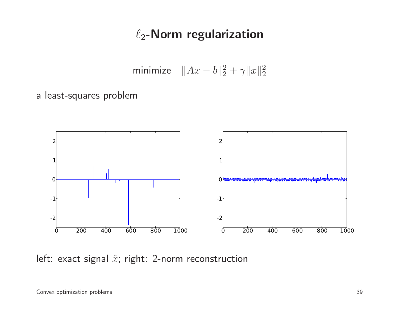## $\ell_2$ -Norm regularization

minimize  $\|Ax - b\|_2^2 + \gamma \|x\|_2^2$ 

<sup>a</sup> least-squares problem



left: exact signal  $\hat{x}$ ; right: 2-norm reconstruction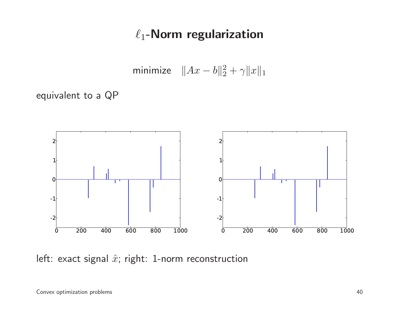## $\ell_1$ -Norm regularization

minimize  $||Ax - b||_2^2 + \gamma ||x||_1$ 

equivalent to <sup>a</sup> QP



left: exact signal  $\hat{x}$ ; right: 1-norm reconstruction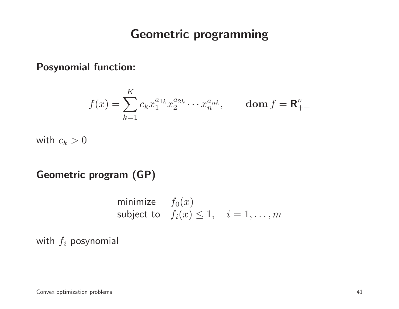## Geometric programming

Posynomial function:

$$
f(x) = \sum_{k=1}^{K} c_k x_1^{a_{1k}} x_2^{a_{2k}} \cdots x_n^{a_{nk}}, \quad \text{dom } f = \mathbf{R}_{++}^n
$$

with  $c_k>0$ 

Geometric program (GP)

minimize 
$$
f_0(x)
$$
  
subject to  $f_i(x) \le 1$ ,  $i = 1,...,m$ 

with  $f_i$  posynomial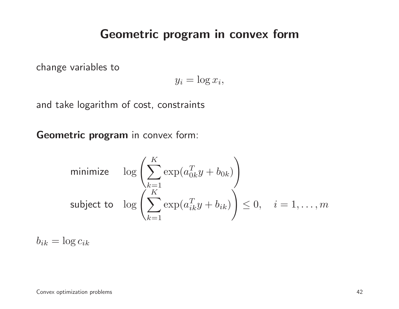### Geometric program in convex form

change variables to

$$
y_i = \log x_i,
$$

and take logarithm of cost, constraints

**Geometric program** in convex form:

minimize 
$$
\log \left( \sum_{k=1}^{K} \exp(a_{0k}^T y + b_{0k}) \right)
$$
  
subject to  $\log \left( \sum_{k=1}^{K} \exp(a_{ik}^T y + b_{ik}) \right) \le 0, \quad i = 1, ..., m$ 

 $b_{ik} = \log c_{ik}$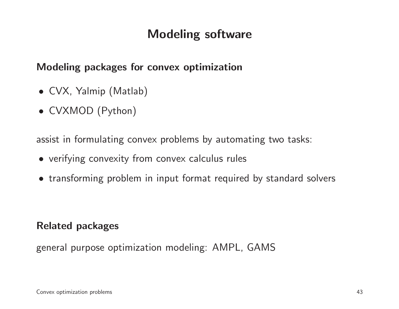## Modeling software

#### Modeling packages for convex optimization

- CVX, Yalmip (Matlab)
- CVXMOD (Python)

assist in formulating convex problems by automating two tasks:

- verifying convexity from convex calculus rules
- transforming problem in input format required by standard solvers

#### Related packages

genera<sup>l</sup> purpose optimization modeling: AMPL, GAMS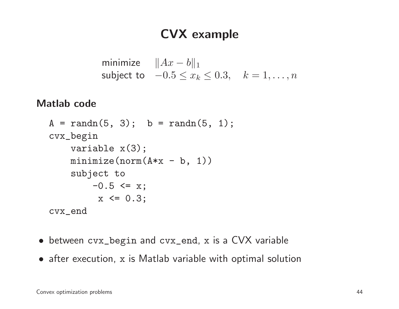## CVX example

```
minimize \|Ax - b\|_1subject to -0.5 \le x_k \le 0.3, k = 1, \ldots, n
```
#### Matlab code

```
A = \text{randn}(5, 3); b = \text{randn}(5, 1);cvx_begin
variable x(3);
    minimize(norm(A*x - b, 1))
    subject to
         -0.5 \leq x;x \le 0.3;
cvx_end
```
- between cvx\_begin and cvx\_end, <sup>x</sup> is <sup>a</sup> CVX variable
- after execution, <sup>x</sup> is Matlab variable with optimal solution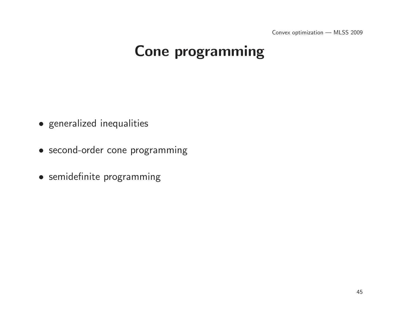Convex optimization — MLSS <sup>2009</sup>

# Cone programming

- generalized inequalities
- second-order cone programming
- semidefinite programming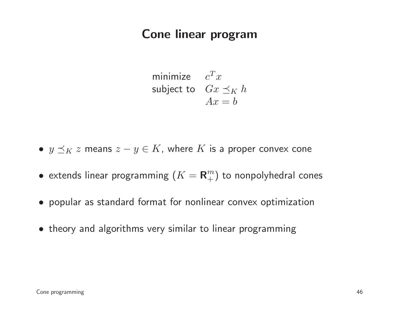## Cone linear program

minimize  $c^T x$ subject to  $\quad Gx \preceq_K h$  $Ax = b$ 

•  $y \preceq_K z$  means  $z - y \in K$ , where  $K$  is a proper convex cone

- $\bullet\,$  extends linear programming  $(K={\bold R}^m_+)$  to nonpolyhedral cones
- popular as standard format for nonlinear convex optimization
- theory and algorithms very similar to linear programming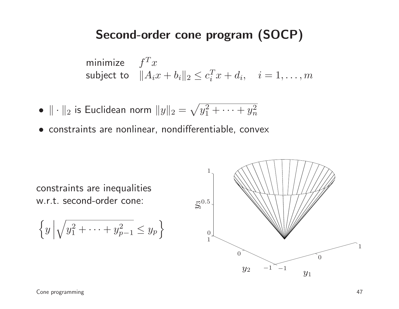## Second-order cone program (SOCP)

minimize 
$$
f^T x
$$
  
subject to  $||A_i x + b_i||_2 \le c_i^T x + d_i$ ,  $i = 1,...,m$ 

- $\bullet$   $\|\cdot\|$  $_2$  is Euclidean norm  $\|y\|_2=$  $\sqrt{y_1^2}$  $y_1^2 + \cdots + y_n^2$  $\, n \,$
- constraints are nonlinear, nondifferentiable, convex



$$
\left\{y\left|\sqrt{y_1^2+\cdots+y_{p-1}^2}\leq y_p\right.\right\}
$$

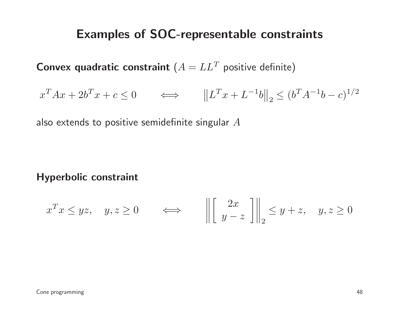### Examples of SOC-representable constraints

**Convex quadratic constraint**  $(A = LL^T$  positive definite)

$$
x^{T}Ax + 2b^{T}x + c \le 0 \qquad \Longleftrightarrow \qquad \left\|L^{T}x + L^{-1}b\right\|_{2} \le (b^{T}A^{-1}b - c)^{1/2}
$$

also extends to positive semidefinite singular  $A$ 

#### Hyperbolic constraint

$$
x^T x \leq yz
$$
,  $y, z \geq 0$   $\iff$   $\left\| \begin{bmatrix} 2x \\ y-z \end{bmatrix} \right\|_2 \leq y+z$ ,  $y, z \geq 0$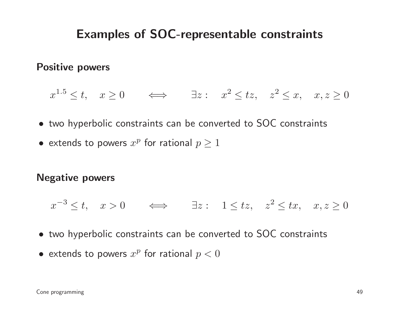## Examples of SOC-representable constraints

#### Positive powers

$$
x^{1.5} \le t
$$
,  $x \ge 0$   $\iff$   $\exists z : x^2 \le tz$ ,  $z^2 \le x$ ,  $x, z \ge 0$ 

- two hyperbolic constraints can be converted to SOC constraints
- $\bullet\,$  extends to powers  $x^p$  for rational  $p\geq 1$

#### Negative powers

 $x^{-3}$  $3 \le t$ ,  $x > 0$   $\iff$   $\exists z : 1 \le tz$ ,  $z^2$  $z \leq tx$ ,  $x, z \geq 0$ 

- two hyperbolic constraints can be converted to SOC constraints
- $\bullet\,$  extends to powers  $x^p$  for rational  $p < 0$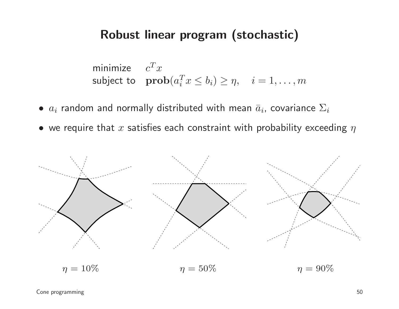## Robust linear program (stochastic)

minimize 
$$
c^T x
$$
  
subject to  $\text{prob}(a_i^T x \le b_i) \ge \eta, \quad i = 1, ..., m$ 

- $\bullet$   $a_i$  random and normally distributed with mean  $\bar{a}_i$ , covariance  $\Sigma_i$
- $\bullet\,$  we require that  $x$  satisfies each constraint with probability exceeding  $\eta$



Cone programming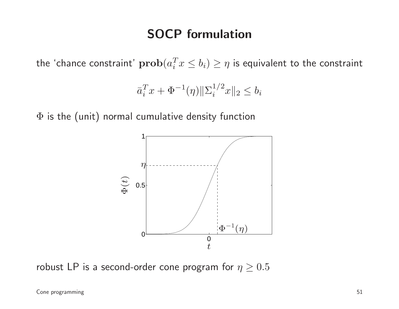## SOCP formulation

the 'chance constraint'  $\mathbf{prob}(a_i^T x \leq b_i) \geq \eta$  is equivalent to the constraint

$$
\bar{a}_i^T x + \Phi^{-1}(\eta) \|\Sigma_i^{1/2} x\|_2 \le b_i
$$

 $\Phi$  is the (unit) normal cumulative density function



robust LP is a second-order cone program for  $\eta \geq 0.5$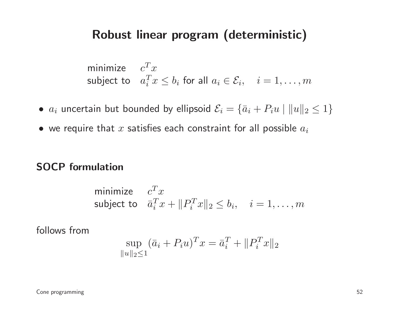### Robust linear program (deterministic)

minimize 
$$
c^T x
$$
  
subject to  $a_i^T x \le b_i$  for all  $a_i \in \mathcal{E}_i$ ,  $i = 1, ..., m$ 

- $\bullet$   $a_i$  uncertain but bounded by ellipsoid  $\mathcal{E}_i = \{\bar{a}_i + P_iu \mid \|u\|_2 \leq 1\}$
- $\bullet\,$  we require that  $x$  satisfies each constraint for all possible  $a_i$

#### SOCP formulation

minimize 
$$
c^T x
$$
  
subject to  $\bar{a}_i^T x + ||P_i^T x||_2 \le b_i$ ,  $i = 1,...,m$ 

follows from

$$
\sup_{\|u\|_2 \le 1} (\bar{a}_i + P_i u)^T x = \bar{a}_i^T + \|P_i^T x\|_2
$$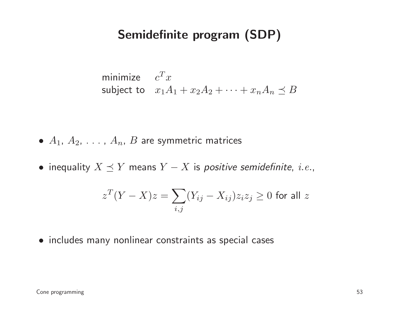## Semidefinite program (SDP)

minimize 
$$
c^T x
$$
  
subject to  $x_1 A_1 + x_2 A_2 + \cdots + x_n A_n \preceq B$ 

- $\bullet$   $A_1$ ,  $A_2$ ,  $\dots$  ,  $A_n$ ,  $B$  are symmetric matrices
- $\bullet$  inequality  $X \preceq Y$  means  $Y-X$  is *positive semidefinite, i.e.*,

$$
z^{T}(Y - X)z = \sum_{i,j} (Y_{ij} - X_{ij})z_{i}z_{j} \ge 0 \text{ for all } z
$$

• includes many nonlinear constraints as special cases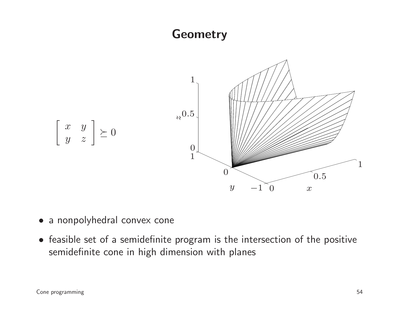## **Geometry**



- <sup>a</sup> nonpolyhedral convex cone
- feasible set of <sup>a</sup> semidefinite program is the intersection of the positive semidefinite cone in high dimension with planes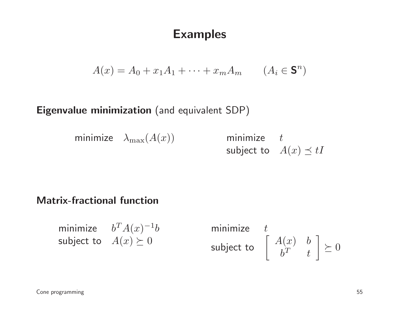## Examples

$$
A(x) = A_0 + x_1 A_1 + \dots + x_m A_m \qquad (A_i \in \mathbf{S}^n)
$$

## $\boldsymbol{\mathsf{Eigenvalue}}$  minimization (and equivalent SDP)

minimize  $\lambda_{\max}(A(x))$  minimize t

subject to  $A(x) \preceq tI$ 

#### Matrix-fractional function

minimize  $b^T A(x)^{-1} b$ subject to  $A(x) \succeq 0$ 

minimize  $t$ subject to $\mathtt{o} \ \ \ \left[ \begin{array}{cc} A(x) & b \ b^T & t \end{array} \right] \succeq 0$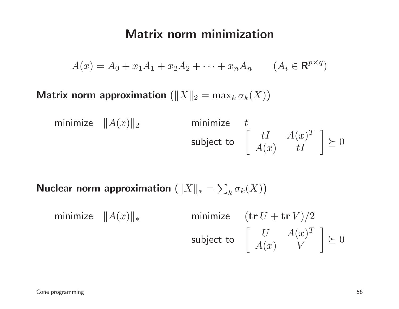## Matrix norm minimization

$$
A(x) = A_0 + x_1 A_1 + x_2 A_2 + \dots + x_n A_n \qquad (A_i \in \mathbf{R}^{p \times q})
$$

Matrix norm approximation  $(\|X\|_2 = \max_k \sigma_k(X))$ 

minimize 
$$
||A(x)||_2
$$
 minimize  $t$   
subject to  $\begin{bmatrix} tI & A(x)^T \\ A(x) & tI \end{bmatrix} \succeq 0$ 

Nuclear norm approximation  $(\|X\|_*=\sum_k\sigma_k(X))$ 

minimize 
$$
||A(x)||_*
$$
 minimize  $(\text{tr } U + \text{tr } V)/2$   
subject to  $\begin{bmatrix} U & A(x)^T \\ A(x) & V \end{bmatrix} \succeq 0$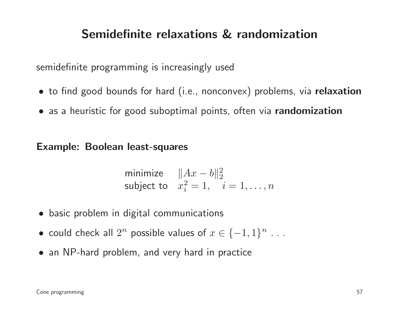## Semidefinite relaxations & randomization

semidefinite programming is increasingly used

- $\bullet\,$  to find good bounds for hard (i.e., nonconvex) problems, via  $\,$  relaxation  $\,$
- as <sup>a</sup> heuristic for good suboptimal points, often via randomization

Example: Boolean least-squares

minimize 
$$
||Ax - b||_2^2
$$
  
subject to  $x_i^2 = 1, i = 1,...,n$ 

- basic problem in digital communications
- could check all  $2^n$  possible values of  $x \in \{-1,1\}^n$ . . .
- an NP-hard problem, and very hard in practice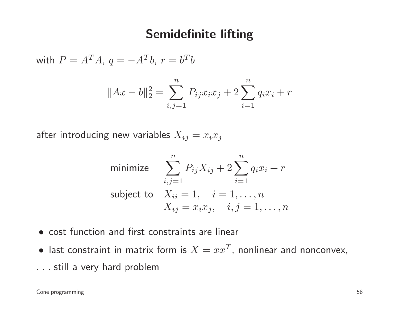## Semidefinite lifting

with  $P = A^T A$ ,  $q = -A^T b$ ,  $r = b^T b$ 

$$
||Ax - b||_2^2 = \sum_{i,j=1}^n P_{ij} x_i x_j + 2 \sum_{i=1}^n q_i x_i + r
$$

after introducing new variables  $X_{ij} = x_i x_j$ 

minimize 
$$
\sum_{i,j=1}^{n} P_{ij}X_{ij} + 2\sum_{i=1}^{n} q_i x_i + r
$$
  
subject to 
$$
X_{ii} = 1, \quad i = 1, ..., n
$$

$$
X_{ij} = x_i x_j, \quad i, j = 1, ..., n
$$

- cost function and first constraints are linear
- last constraint in matrix form is  $X = xx^T$ , nonlinear and nonconvex,
- . . . still <sup>a</sup> very hard problem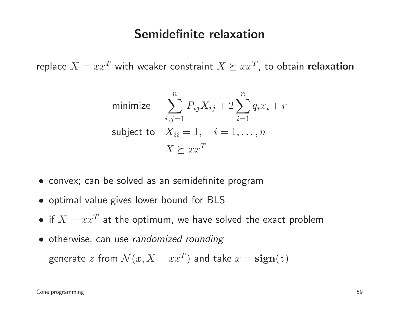### Semidefinite relaxation

replace  $X = xx^T$  with weaker constraint  $X \succeq xx^T$ , to obtain **relaxation** 

minimize 
$$
\sum_{i,j=1}^{n} P_{ij}X_{ij} + 2\sum_{i=1}^{n} q_{i}x_{i} + r
$$
  
subject to 
$$
X_{ii} = 1, \quad i = 1, ..., n
$$

$$
X \succeq xx^{T}
$$

- convex; can be solved as an semidefinite program
- optimal value <sup>g</sup>ives lower bound for BLS
- if  $X = xx^T$  at the optimum, we have solved the exact problem
- otherwise, can use randomized rounding

generate  $z$  from  $\mathcal{N}(x, X - xx^T)$  and take  $x = \textbf{sign}(z)$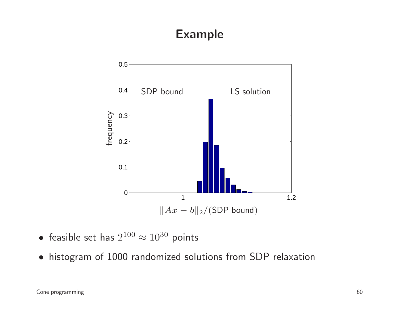## Example



• feasible set has  $2^{100} \approx 10^{30}$  points

• histogram of <sup>1000</sup> randomized solutions from SDP relaxation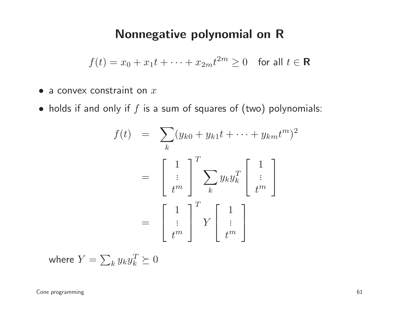## Nonnegative polynomial on <sup>R</sup>

$$
f(t) = x_0 + x_1 t + \dots + x_{2m} t^{2m} \ge 0 \quad \text{for all } t \in \mathbf{R}
$$

- $\bullet$  a convex constraint on  $x$
- $\bullet\,$  holds if and only if  $f$  is a sum of squares of  $($ two $)$  polynomials:

$$
f(t) = \sum_{k} (y_{k0} + y_{k1}t + \dots + y_{km}t^m)^2
$$

$$
= \begin{bmatrix} 1 \\ \vdots \\ t^m \end{bmatrix} \sum_{k} y_{k} y_{k}^T \begin{bmatrix} 1 \\ \vdots \\ t^m \end{bmatrix}
$$

$$
= \begin{bmatrix} 1 \\ \vdots \\ t^m \end{bmatrix}^T Y \begin{bmatrix} 1 \\ \vdots \\ t^m \end{bmatrix}
$$

where  $Y=\sum_ky_ky$  $\, T \,$  $\frac{1}{k}\succeq0$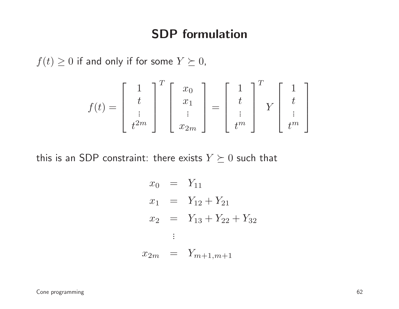## SDP formulation

 $f(t) \geq 0$  if and only if for some  $Y \succeq 0$ ,

$$
f(t) = \begin{bmatrix} 1 \\ t \\ \vdots \\ t^{2m} \end{bmatrix}^T \begin{bmatrix} x_0 \\ x_1 \\ \vdots \\ x_{2m} \end{bmatrix} = \begin{bmatrix} 1 \\ t \\ \vdots \\ t^m \end{bmatrix}^T Y \begin{bmatrix} 1 \\ t \\ \vdots \\ t^m \end{bmatrix}
$$

this is an SDP constraint: there exists  $Y \succeq 0$  such that

$$
x_0 = Y_{11}
$$
  
\n
$$
x_1 = Y_{12} + Y_{21}
$$
  
\n
$$
x_2 = Y_{13} + Y_{22} + Y_{32}
$$
  
\n:  
\n:  
\n
$$
x_{2m} = Y_{m+1,m+1}
$$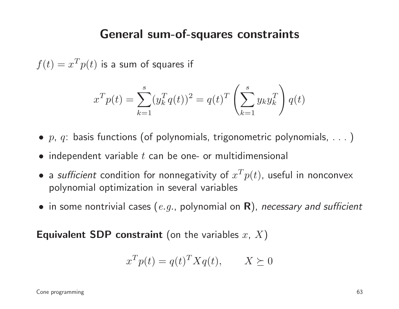### General sum-of-squares constraints

 $f(t) = x^T$  $^{T}p(t)$  is a sum of squares if

$$
x^T p(t) = \sum_{k=1}^s (y_k^T q(t))^2 = q(t)^T \left(\sum_{k=1}^s y_k y_k^T\right) q(t)
$$

- $\bullet\,$   $p,\,q\colon$  basis functions (of polynomials, trigonometric polynomials,  $\dots$  )  $\colon$
- $\bullet$  independent variable  $t$  can be one- or multidimensional
- $\bullet$  a *sufficient* condition for nonnegativity of  $x^T$  polynomial optimization in several variables $^{T}p(t)$ , useful in nonconvex
- $\bullet\,$  in some nontrivial cases  $(\mathit{e.g.},$  polynomial on  $\mathsf R)$ , *necessary and sufficient*

**Equivalent SDP constraint** (on the variables  $x,~X)$ 

$$
x^T p(t) = q(t)^T X q(t), \qquad X \succeq 0
$$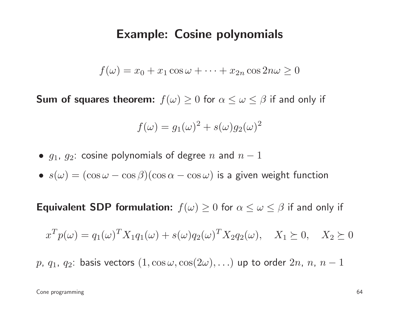#### Example: Cosine polynomials

$$
f(\omega) = x_0 + x_1 \cos \omega + \dots + x_{2n} \cos 2n\omega \ge 0
$$

**Sum of squares theorem:**  $f(\omega) \ge 0$  for  $\alpha \le \omega \le \beta$  if and only if

$$
f(\omega) = g_1(\omega)^2 + s(\omega)g_2(\omega)^2
$$

- $\bullet$   $\,g_1,\,g_2\!\!:$  cosine polynomials of degree  $n$  and  $n-1$
- $\bullet \ \ s(\omega) = (\cos\omega \cos\beta)(\cos\alpha \cos\omega)$  is a given weight function

**Equivalent SDP formulation:**  $f(\omega) \ge 0$  for  $\alpha \le \omega \le \beta$  if and only if

$$
x^T p(\omega) = q_1(\omega)^T X_1 q_1(\omega) + s(\omega) q_2(\omega)^T X_2 q_2(\omega), \quad X_1 \succeq 0, \quad X_2 \succeq 0
$$

 $p,~q_1,~q_2$ : basis vectors  $(1,\cos\omega,\cos(2\omega),\ldots)$  up to order  $2n,~n,~n-1$ 

Cone programming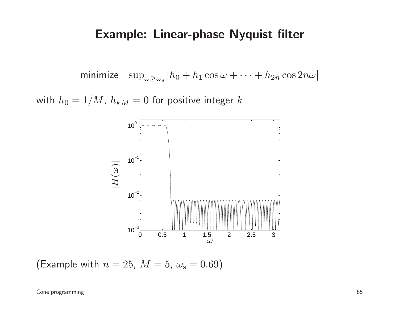### Example: Linear-phase Nyquist filter

minimize  $\sup_{\omega \ge \omega_{\rm s}} |h_0 + h_1 \cos \omega + \cdots + h_{2n}|$  $_n\cos 2n\omega|$ 

with  $h_0 = 1/M$ ,  $h_{kM} = 0$  for positive integer  $k$ 



(Example with  $n = 25$ ,  $M = 5$ ,  $\omega$  $_{\rm s} = 0.69)$ 

Cone programming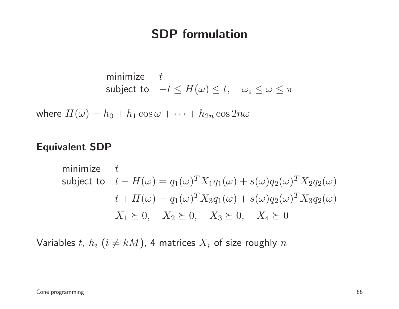## SDP formulation

minimize 
$$
t
$$
  
subject to  $-t \leq H(\omega) \leq t$ ,  $\omega_s \leq \omega \leq \pi$ 

where  $H(\omega) = h_0 + h_1 \cos \omega + \cdots + h_{2n} \cos 2n\omega$ 

#### Equivalent SDP

minimize 
$$
t
$$
  
\nsubject to  $t - H(\omega) = q_1(\omega)^T X_1 q_1(\omega) + s(\omega) q_2(\omega)^T X_2 q_2(\omega)$   
\n $t + H(\omega) = q_1(\omega)^T X_3 q_1(\omega) + s(\omega) q_2(\omega)^T X_3 q_2(\omega)$   
\n $X_1 \succeq 0, X_2 \succeq 0, X_3 \succeq 0, X_4 \succeq 0$ 

Variables  $t$ ,  $h_i$   $(i\neq kM)$ , 4 matrices  $X_i$  of size roughly  $n$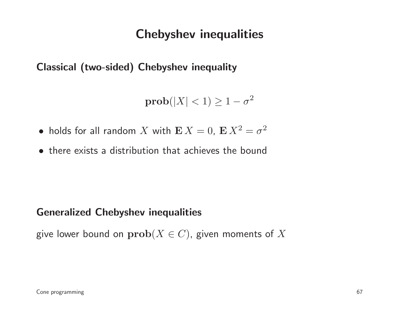## Chebyshev inequalities

Classical (two-sided) Chebyshev inequality

 $\textbf{prob}(|X| < 1) \geq 1-\sigma$ 2

- holds for all random  $X$  with  $\mathbf{E} X = 0$ ,  $\mathbf{E} X^2$  $^2=\sigma^2$
- there exists <sup>a</sup> distribution that achieves the bound

#### Generalized Chebyshev inequalities

give lower bound on  $\mathbf{prob}(X \in C)$ , given moments of  $X$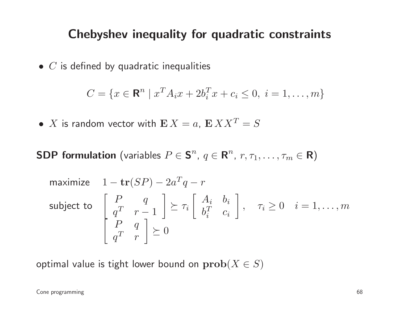## Chebyshev inequality for quadratic constraints

 $\bullet\,$   $C$  is defined by quadratic inequalities

$$
C = \{x \in \mathbf{R}^n \mid x^T A_i x + 2b_i^T x + c_i \le 0, \ i = 1, \dots, m\}
$$

- $\bullet$   $X$  is random vector with  $\mathbf{E} X = a$ ,  $\mathbf{E} X X^T$  $T=S$
- ${\sf SDP}$  formulation (variables  $P\in{\sf S}^n$  $^n$ ,  $q\in\mathbf{R}^n$  $^{n},\ r,\tau_{1},\ldots,\tau_{m}\in\mathbf{R})$

maximize 
$$
1 - \mathbf{tr}(SP) - 2a^Tq - r
$$
  
\nsubject to 
$$
\begin{bmatrix} P & q \\ q^T & r - 1 \end{bmatrix} \succeq \tau_i \begin{bmatrix} A_i & b_i \\ b_i^T & c_i \end{bmatrix}, \quad \tau_i \ge 0 \quad i = 1, ..., m
$$
\n
$$
\begin{bmatrix} P & q \\ q^T & r \end{bmatrix} \succeq 0
$$

optimal value is tight lower bound on  $\mathbf{prob}(X \in S)$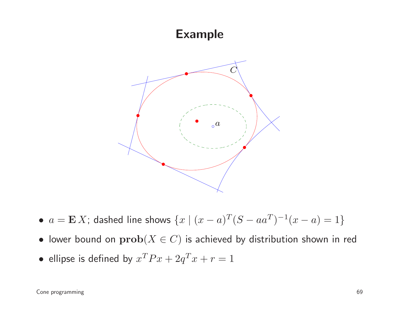## Example



- $a = \mathbf{E} X$ ; dashed line shows  $\{x \mid (x a)^T (S a a^T)^{-1} (x a) = 1\}$
- $\bullet\,$  lower bound on  $\mathbf{prob}(X\in C)$  is achieved by distribution shown in red
- •• ellipse is defined by  $x^T P x + 2q^T x + r = 1$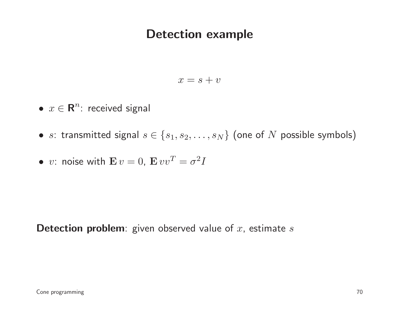## Detection example

$$
x = s + v
$$

- $x \in \mathbb{R}^n$ : received signal
- $\bullet \ \ s$ : transmitted signal  $s \in \{s_1, s_2, \ldots, s_N\}$  (one of  $N$  possible symbols)

• v: noise with 
$$
\mathbf{E} v = 0
$$
,  $\mathbf{E} v v^T = \sigma^2 I$ 

 $\bm{\mathsf{ Detection}}$  problem: given observed value of  $x$ , estimate  $s$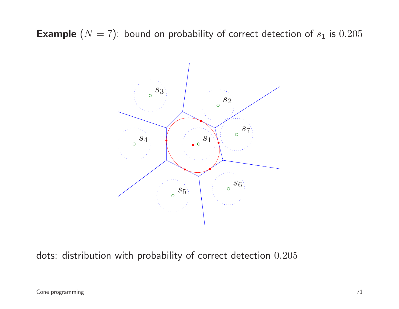**Example**  $(N = 7)$ : bound on probability of correct detection of  $s_1$  is  $0.205$ 



dots: distribution with probability of correct detection  $0.205\,$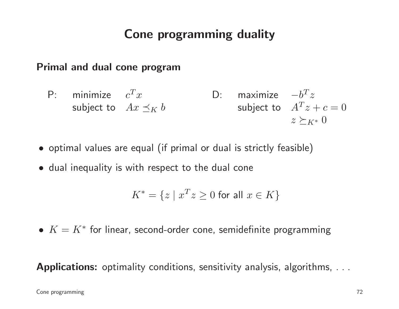# Cone programming duality

#### Primal and dual cone program

P: minimize  $c^Tx$ subject to  $Ax \preceq_K b$ D: maximizesubject to  $A^Tz+c=0$  $-b^Tz$  $z\succeq_{K^*}0$ 

- optimal values are equal (if primal or dual is strictly feasible )
- dual inequality is with respect to the dual cone

$$
K^* = \{ z \mid x^T z \ge 0 \text{ for all } x \in K \}
$$

 $\bullet\; K=K^*$  for linear, second-order cone, semidefinite programming

Applications: optimality conditions, sensitivity analysis, algorithms, . . .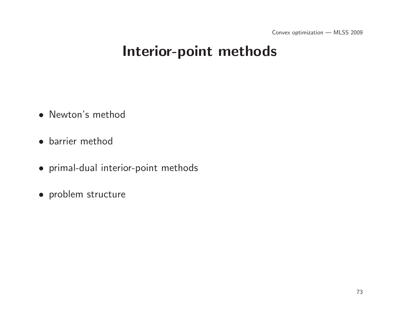# Interior-point methods

- Newton's method
- barrier method
- primal-dual interior-point methods
- problem structure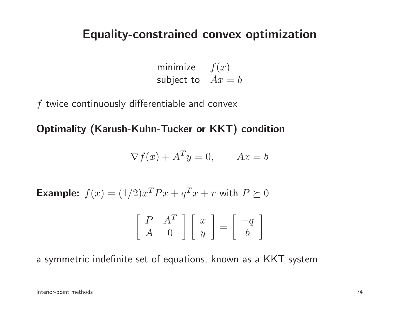## Equality-constrained convex optimization

minimize  $f(x)$ subject to  $Ax = b$ 

 $f$  twice continuously differentiable and convex

Optimality (Karush-Kuhn-Tucker or KKT) condition

$$
\nabla f(x) + A^T y = 0, \qquad Ax = b
$$

Example:  $f(x) = (1/2)x^T P x + q$  $\, T \,$  $T x + r$  with  $P\succeq0$ 

$$
\left[\begin{array}{cc} P & A^T \\ A & 0 \end{array}\right] \left[\begin{array}{c} x \\ y \end{array}\right] = \left[\begin{array}{c} -q \\ b \end{array}\right]
$$

<sup>a</sup> symmetric indefinite set of equations, known as <sup>a</sup> KKT system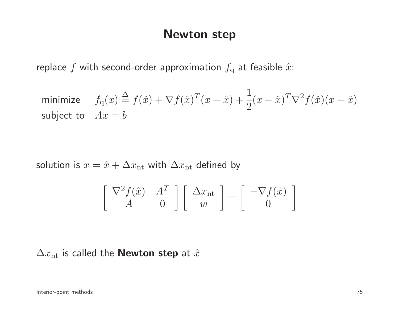### Newton step

replace  $f$  with second-order approximation  $f_{\mathrm{q}}$  at feasible  $\hat{x}$ :

minimize 
$$
f_q(x) \stackrel{\Delta}{=} f(\hat{x}) + \nabla f(\hat{x})^T (x - \hat{x}) + \frac{1}{2} (x - \hat{x})^T \nabla^2 f(\hat{x}) (x - \hat{x})
$$
  
subject to  $Ax = b$ 

solution is  $x = \hat{x} + \Delta x_{\text{nt}}$  with  $\Delta x_{\text{nt}}$  defined by

$$
\begin{bmatrix} \nabla^2 f(\hat{x}) & A^T \\ A & 0 \end{bmatrix} \begin{bmatrix} \Delta x_{\rm nt} \\ w \end{bmatrix} = \begin{bmatrix} -\nabla f(\hat{x}) \\ 0 \end{bmatrix}
$$

 $\Delta x_{\text{nt}}$  is called the **Newton step** at  $\hat{x}$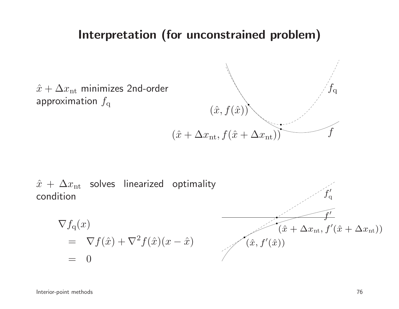### Interpretation (for unconstrained problem)



 $\hat{x}$   $+$   $\Delta x_{\text{nt}}$  solves linearized optimality condition $\nabla f_{\rm q}(x)$  $= \nabla f(\hat{x}) + \nabla^2$  $^{2}f(\hat{x})(x-\hat{x})$  $= 0$  $f^\prime$  $(\hat{x} + \Delta x_{\text{nt}}, f'(\hat{x} + \Delta x_{\text{nt}}))$  $\boldsymbol{f}$ ′q $(\hat{x}, f'(\hat{x}))$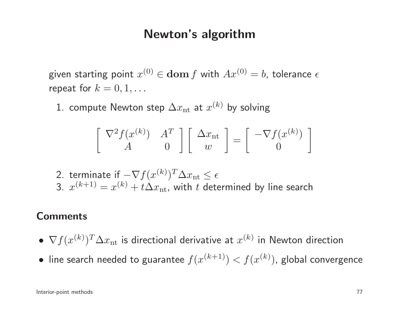## Newton's algorithm

given starting point  $x^{(0)} \in \textbf{dom}\, f$  with  $Ax^{(0)} = b$ , tolerance  $\epsilon$ repeat for  $k=0,1,\ldots$ 

1. compute Newton step  $\Delta x_{\text{nt}}$  at  $x^{(k)}$  by solving

$$
\begin{bmatrix} \nabla^2 f(x^{(k)}) & A^T \\ A & 0 \end{bmatrix} \begin{bmatrix} \Delta x_{\rm nt} \\ w \end{bmatrix} = \begin{bmatrix} -\nabla f(x^{(k)}) \\ 0 \end{bmatrix}
$$

2. terminate if  $-\nabla f(x^{(k)})^T\Delta x_{\rm nt} \leq 1$  $\leq \epsilon$ 3.  $x^{(k+1)} = x^{(k)} + t\Delta x_{\text{nt}}$ , with  $t$  determined by line search

#### **Comments**

- • $\nabla f(x^{(k)})^T \Delta x_{\text{nt}}$  is directional derivative at  $x^{(k)}$  in Newton direction
- • $\bullet\,$  line search needed to guarantee  $f(x^{(k+1)}) < f(x^{(k)})$ , global convergence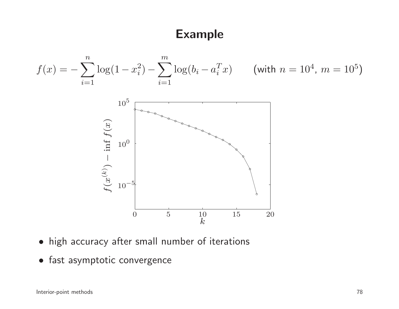## Example



- $\bullet$ high accuracy after small number of iterations
- fast asymptotic convergence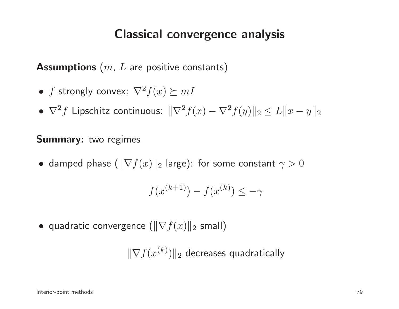## Classical convergence analysis

 $\boldsymbol{\mathsf{Assumptions}}\ (m,\ L$  are positive constants)

- $\bullet$   $f$  strongly convex:  $\nabla^2$  $f(x) \succeq mI$
- $\bullet$   $\nabla^2$  $^{2}f$  Lipschitz continuous:  $\Vert \nabla^{2}$  $f(x) - \nabla^2$  $\|f(y)\|_2 \leq L\|x-y\|_2$

### **Summary:** two regimes

 $\bullet\,$  damped phase  $(\|\nabla f(x)\|_2)$  $_2$  large): for some constant  $\gamma>0$ 

$$
f(x^{(k+1)}) - f(x^{(k)}) \le -\gamma
$$

 $\bullet\,$  quadratic convergence  $(\|\nabla f(x)\|_2$  $_{2}$  small)

 $\|\nabla f(x^{(k)})\|_2$  decreases quadratically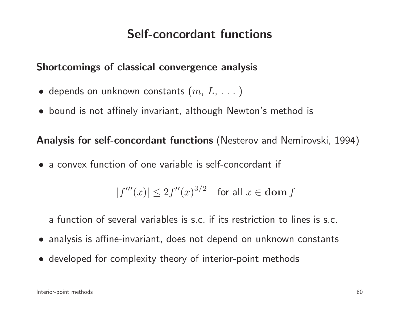## Self-concordant functions

### Shortcomings of classical convergence analysis

- $\bullet\,$  depends on unknown constants  $(m,\,L,\,\dots\,)$
- bound is not affinely invariant, although Newton's method is

Analysis for self-concordant functions (Nesterov and Nemirovski, 1994)

• <sup>a</sup> convex function of one variable is self-concordant if

$$
|f'''(x)| \le 2f''(x)^{3/2} \quad \text{for all } x \in \text{dom } f
$$

<sup>a</sup> function of several variables is s.c. if its restriction to lines is s.c.

- analysis is affine-invariant, does not depend on unknown constants
- developed for complexity theory of interior-point methods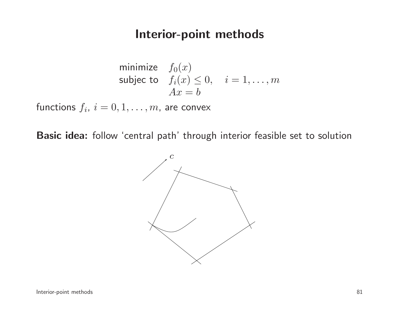### Interior-point methods

minimize 
$$
f_0(x)
$$
  
subject to  $f_i(x) \le 0$ ,  $i = 1,..., m$   
 $Ax = b$ 

functions  $f_i, \ i=0,1,\ldots,m,$  are convex

Basic idea: follow 'central path' through interior feasible set to solution

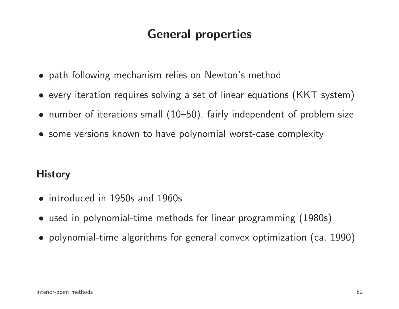# General properties

- path-following mechanism relies on Newton's method
- $\bullet\,$  every iteration requires solving a set of linear equations  $\textsf{(KKT}\text{ system)}$
- number of iterations small (10–50), fairly independent of problem size
- some versions known to have polynomial worst-case complexity

### **History**

- introduced in 1950s and 1960s
- used in polynomial-time methods for linear programming (1980s)
- polynomial-time algorithms for genera<sup>l</sup> convex optimization (ca. 1990)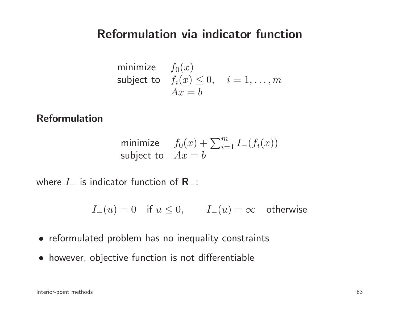## Reformulation via indicator function

minimize 
$$
f_0(x)
$$
  
subject to  $f_i(x) \le 0$ ,  $i = 1,..., m$   
 $Ax = b$ 

### Reformulation

minimize 
$$
f_0(x) + \sum_{i=1}^m I_-(f_i(x))
$$
  
subject to  $Ax = b$ 

where  $I_-\,$  $\mathsf{L}$  is indicator function of  $\mathsf{R}_-$ :

 $I_-(u) = 0$  if  $u \le 0$ ,  $I_-(u) = \infty$  otherwise

- reformulated problem has no inequality constraints
- however, objective function is not differentiable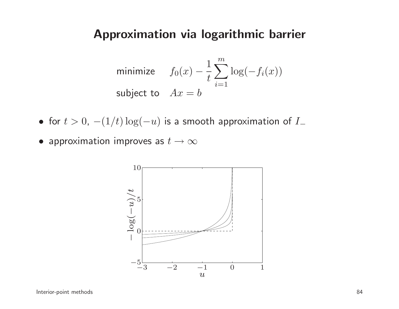## Approximation via logarithmic barrier

minimize 
$$
f_0(x) - \frac{1}{t} \sum_{i=1}^{m} \log(-f_i(x))
$$
  
subject to  $Ax = b$ 

- for  $t > 0$ ,  $-(1/t) \log(t)$  $-u)$  is a smooth approximation of  $I_{-}$
- $\bullet$  approximation improves as  $t\to\infty$

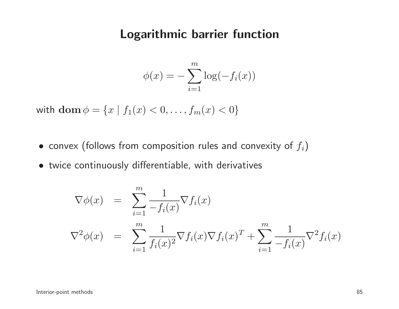### Logarithmic barrier function

$$
\phi(x) = -\sum_{i=1}^{m} \log(-f_i(x))
$$

with  $\textbf{dom}\,\phi=\{x\mid f$  $f_1(x) < 0, \ldots, f_m(x) < 0\}$ 

- $\bullet\,$  convex (follows from composition rules and convexity of  $f_i)$
- twice continuously differentiable, with derivatives

$$
\nabla \phi(x) = \sum_{i=1}^{m} \frac{1}{-f_i(x)} \nabla f_i(x)
$$
  

$$
\nabla^2 \phi(x) = \sum_{i=1}^{m} \frac{1}{f_i(x)^2} \nabla f_i(x) \nabla f_i(x)^T + \sum_{i=1}^{m} \frac{1}{-f_i(x)} \nabla^2 f_i(x)
$$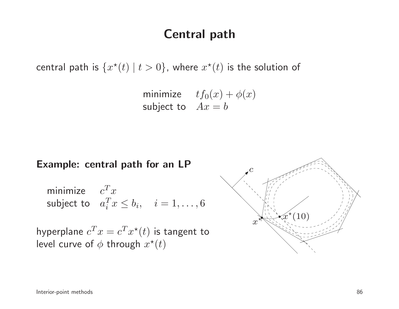## Central path

central path is  $\{x^\star(t) \mid t > 0\}$ , where  $x^\star(t)$  is the solution of

minimize  $tf_0(x) + \phi(x)$ subject to  $Ax = b$ 

#### Example: central path for an LP

minimize 
$$
c^T x
$$
  
subject to  $a_i^T x \le b_i$ ,  $i = 1,...,6$ 

hyperplane  $c^T x = c^T x^\star(t)$  is tangent to level curve of  $\phi$  through  $x^\star(t)$ 

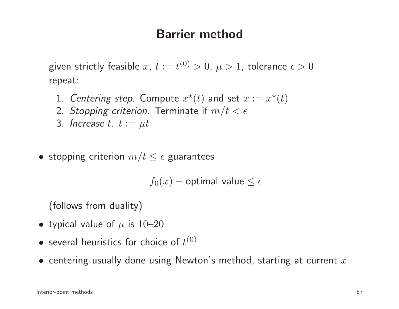## Barrier method

given strictly feasible  $x,~t:=t^{(0)}>0,~\mu>1,$  tolerance  $\epsilon>0$ repeat:

- 1. Centering step. Compute  $x^*(t)$  and set  $x := x^*(t)$
- 2. *Stopping criterion.* Terminate if  $m/t < \epsilon$
- 3. Increase  $t$ .  $t := \mu t$
- stopping criterion  $m/t \leq \epsilon$  guarantees

 $f_0(x)$   $-$  optimal value  $\leq \epsilon$ 

(follows from duality)

- typical value of  $\mu$  is  $10\text{--}20$
- • $\bullet$  several heuristics for choice of  $t^{(0)}$
- $\bullet\,$  centering usually done using Newton's method, starting at current  $x$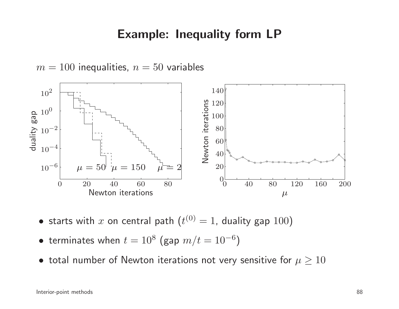## Example: Inequality form LP



 $\bullet$  starts with  $x$  on central path  $(t^{(0)} = 1$ , duality gap  $100)$ 

- $\bullet\,$  terminates when  $t=10^8$  (gap  $m/t=10^{-6}$  $^{6})$
- $\bullet\,$  total number of Newton iterations not very sensitive for  $\mu\geq 10$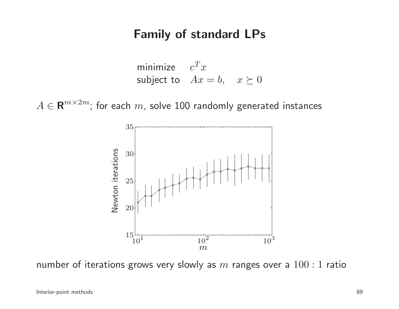## Family of standard LPs

minimize 
$$
c^T x
$$
  
subject to  $Ax = b$ ,  $x \succeq 0$ 

 $A \in \mathbf{R}^{m \times 2m}$ ; for each  $m$ , solve 100 randomly generated instances



number of iterations grows very slowly as  $m$  ranges over a  $100:1$  ratio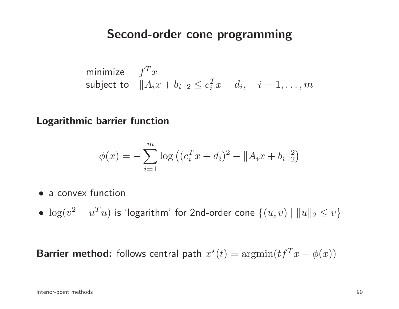### Second-order cone programming

minimize 
$$
f^T x
$$
  
subject to  $||A_i x + b_i||_2 \le c_i^T x + d_i$ ,  $i = 1,...,m$ 

Logarithmic barrier function

$$
\phi(x) = -\sum_{i=1}^{m} \log \left( (c_i^T x + d_i)^2 - ||A_i x + b_i||_2^2 \right)
$$

- a convex function
- $\bullet \ \log(v^2)$  $^{2}-u^{T}$  $\|T u)$  is 'logarithm' for 2nd-order cone  $\{(u, v) \mid \|u\|_2 \leq v\}$

**Barrier method:** follows central path  $x^\star$  $t^*(t) = \operatorname{argmin}(t f^T)$  $T x + \phi(x)$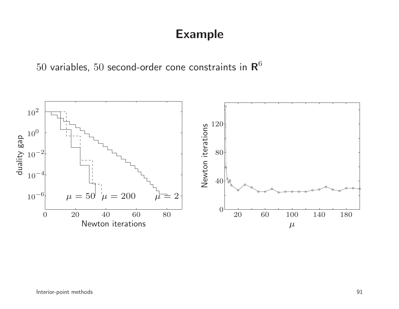## Example

 $50$  variables,  $50$  second-order cone constraints in  ${\rm \textbf{R}}^6$ 

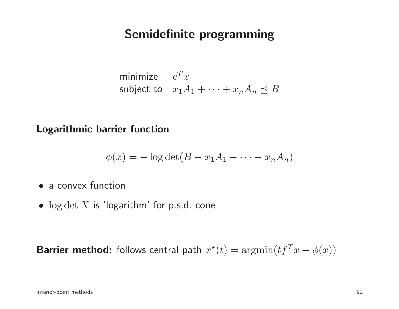## Semidefinite programming

minimize 
$$
c^T x
$$
  
subject to  $x_1 A_1 + \cdots + x_n A_n \preceq B$ 

Logarithmic barrier function

$$
\phi(x) = -\log \det(B - x_1 A_1 - \dots - x_n A_n)
$$

- a convex function
- $\bullet \;\log \det X$  is 'logarithm' for p.s.d. cone

**Barrier method:** follows central path  $x^\star$  $t^*(t) = \mathrm{argmin}(t f^T)$  $T x+\phi(x))$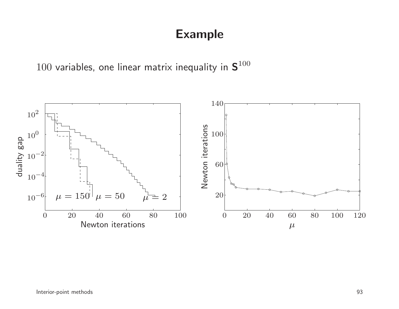## Example

 $100$  variables, one linear matrix inequality in  ${\bf S}^{100}$ 

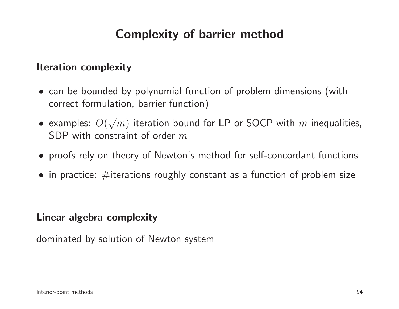# Complexity of barrier method

#### Iteration complexity

- can be bounded by polynomial function of problem dimensions (withcorrect formulation, barrier function)
- examples:  $O(\sqrt{m})$  iteration bound for LP or SOCP with m inequalities,<br>SDP with constraint of order m  $\overline{\phantom{a}}$  ${\sf SDP}$  with constraint of order  $m$
- proofs rely on theory of Newton's method for self-concordant functions
- $\bullet\,$  in practice:  $\#$ iterations roughly constant as a function of problem size

#### Linear algebra complexity

dominated by solution of Newton system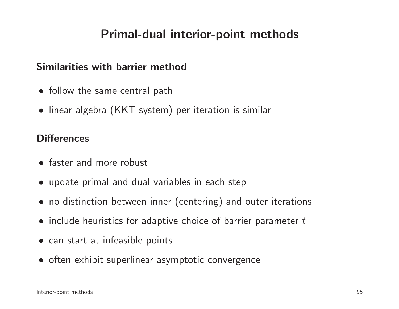## Primal-dual interior-point methods

#### Similarities with barrier method

- follow the same central path
- linear algebra (KKT system) per iteration is similar

#### **Differences**

- faster and more robust
- update primal and dual variables in each step
- no distinction between inner (centering) and outer iterations
- $\bullet\,$  include heuristics for adaptive choice of barrier parameter  $t$
- can start at infeasible points
- often exhibit superlinear asymptotic convergence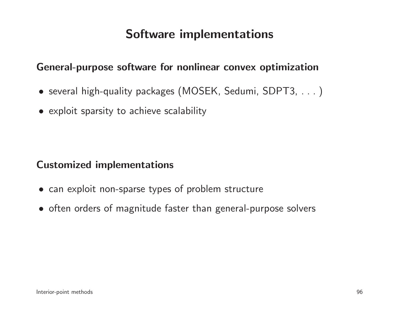## Software implementations

#### General-purpose software for nonlinear convex optimization

- several high-quality packages (MOSEK, Sedumi, SDPT3, . . . )
- exploit sparsity to achieve scalability

#### Customized implementations

- can exploit non-sparse types of problem structure
- often orders of magnitude faster than general-purpose solvers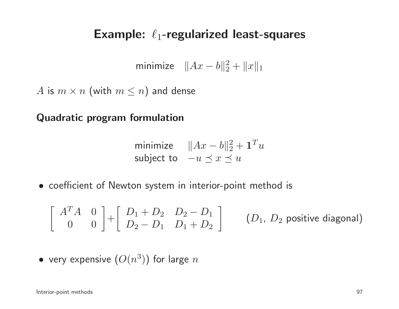# Example:  $\ell_1$ -regularized least-squares

minimize  $||Ax - b||_2^2 + ||x||_1$ 

 $A$  is  $m \times n$  (with  $m \leq n$ ) and dense

Quadratic program formulation

minimize 
$$
||Ax - b||_2^2 + \mathbf{1}^T u
$$
  
subject to  $-u \le x \le u$ 

• coefficient of Newton system in interior-point method is

$$
\left[\begin{array}{cc} A^T A & 0 \\ 0 & 0 \end{array}\right] + \left[\begin{array}{cc} D_1 + D_2 & D_2 - D_1 \\ D_2 - D_1 & D_1 + D_2 \end{array}\right] \qquad (D_1, D_2 \text{ positive diagonal})
$$

• very expensive 
$$
(O(n^3))
$$
 for large  $n$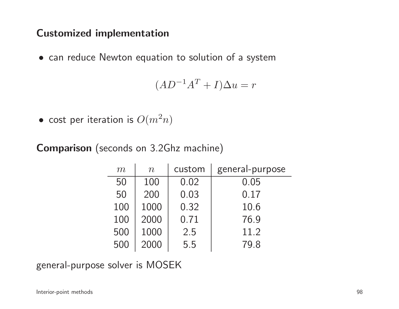### Customized implementation

• can reduce Newton equation to solution of <sup>a</sup> system

$$
(AD^{-1}A^T + I)\Delta u = r
$$

 $\bullet\,$  cost per iteration is  $O(m^2$  $^{2}n)$ 

Comparison (seconds on 3.2Ghz machine)

| m   | $\boldsymbol{n}$ | custom | general-purpose |
|-----|------------------|--------|-----------------|
| 50  | 100              | 0.02   | 0.05            |
| 50  | 200              | 0.03   | 0.17            |
| 100 | 1000             | 0.32   | 10.6            |
| 100 | 2000             | 0.71   | 76.9            |
| 500 | 1000             | 2.5    | 11.2            |
| 500 | 2000             | 5.5    | 79.8            |

general-purpose solver is MOSEK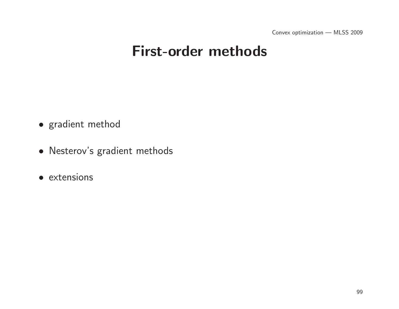# First-order methods

- gradient method
- Nesterov's gradient methods
- extensions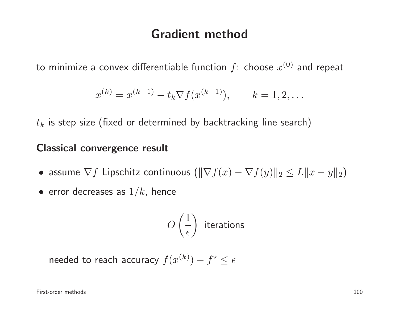## Gradient method

to minimize a convex differentiable function  $f$ : choose  $x^{(0)}$  and repeat

$$
x^{(k)} = x^{(k-1)} - t_k \nabla f(x^{(k-1)}), \qquad k = 1, 2, \dots
$$

 $t_k$  is step size (fixed or determined by backtracking line search)

### Classical convergence result

- assume  $\nabla f$  Lipschitz continuous  $(\|\nabla f(x) \nabla f(y)\|_2 \leq L \|x y\|_2)$
- $\bullet\,$  error decreases as  $1/k_\text{\tiny A}$  hence

$$
O\left(\frac{1}{\epsilon}\right) \text{ iterations}
$$

needed to reach accuracy  $f(x^{(k)}) - f^* \leq \epsilon$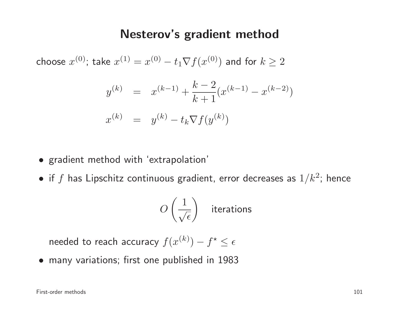## Nesterov's gradient method

choose  $x^{(0)}$ ; take  $x^{(1)} = x^{(0)} - t_1 \nabla f(x^{(0)})$  and for  $k \geq 2$ 

$$
y^{(k)} = x^{(k-1)} + \frac{k-2}{k+1} (x^{(k-1)} - x^{(k-2)})
$$
  

$$
x^{(k)} = y^{(k)} - t_k \nabla f(y^{(k)})
$$

- gradient method with 'extrapolation'
- $\bullet$  if  $f$  has Lipschitz continuous gradient, error decreases as  $1/k^2$ ; hence

$$
O\left(\frac{1}{\sqrt{\epsilon}}\right) \quad \text{iterations}
$$

needed to reach accuracy  $f(x^{(k)})$  $f^\star$  $^\star \leq \epsilon$ 

• many variations; first one published in <sup>1983</sup>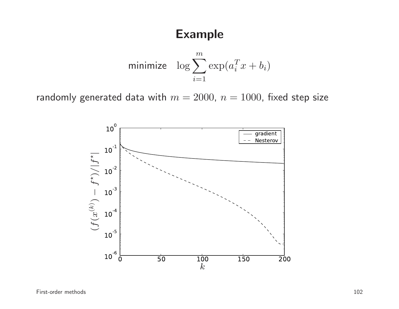## Example

minimize 
$$
\log \sum_{i=1}^{m} \exp(a_i^T x + b_i)
$$

randomly generated data with  $m = 2000$ ,  $n = 1000$ , fixed step size

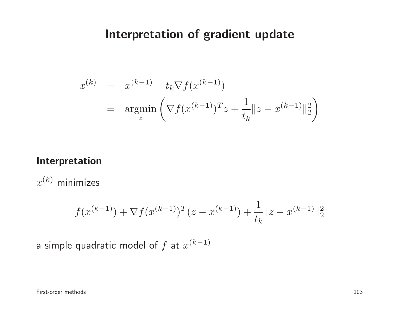## Interpretation of gradient update

$$
x^{(k)} = x^{(k-1)} - t_k \nabla f(x^{(k-1)})
$$
  
= 
$$
\operatorname{argmin}_{z} \left( \nabla f(x^{(k-1)})^T z + \frac{1}{t_k} ||z - x^{(k-1)}||_2^2 \right)
$$

#### Interpretation

 $x^{\left(k\right)}$  minimizes

$$
f(x^{(k-1)}) + \nabla f(x^{(k-1)})^T (z - x^{(k-1)}) + \frac{1}{t_k} ||z - x^{(k-1)}||_2^2
$$

a simple quadratic model of  $f$  at  $x^{(k-1)}$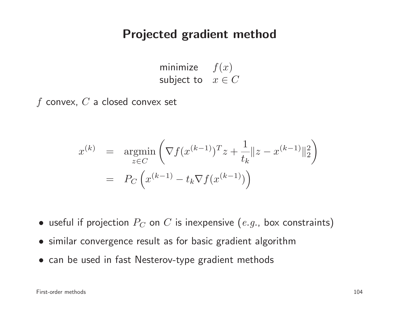### Projected gradient method

minimize  $f(x)$ subject to  $x\in C$ 

 $f$  convex,  $C$  a closed convex set

$$
x^{(k)} = \underset{z \in C}{\text{argmin}} \left( \nabla f(x^{(k-1)})^T z + \frac{1}{t_k} \|z - x^{(k-1)}\|_2^2 \right)
$$

$$
= P_C \left( x^{(k-1)} - t_k \nabla f(x^{(k-1)}) \right)
$$

- $\bullet\,$  useful if projection  $P_C$  on  $C$  is inexpensive  $(\emph{e.g.,}$  box constraints)
- similar convergence result as for basic gradient algorithm
- can be used in fast Nesterov-type gradient methods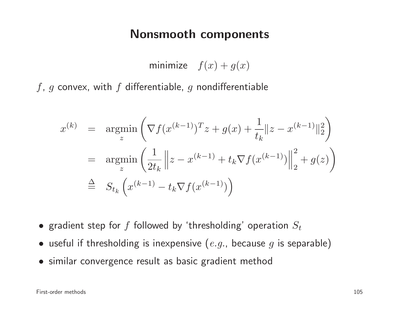### Nonsmooth components

minimize  $f(x) + g(x)$ 

 $f,\,g$  convex, with  $f$  differentiable,  $g$  nondifferentiable

$$
x^{(k)} = \underset{z}{\text{argmin}} \left( \nabla f(x^{(k-1)})^T z + g(x) + \frac{1}{t_k} \|z - x^{(k-1)}\|_2^2 \right)
$$
  
=  $\underset{z}{\text{argmin}} \left( \frac{1}{2t_k} \|z - x^{(k-1)} + t_k \nabla f(x^{(k-1)})\|_2^2 + g(z) \right)$   

$$
\stackrel{\Delta}{=} S_{t_k} \left( x^{(k-1)} - t_k \nabla f(x^{(k-1)}) \right)
$$

- $\bullet\,$  gradient step for  $f$  followed by 'thresholding' operation  $S_t$
- $\bullet\,$  useful if thresholding is inexpensive  $(\emph{e.g.,}$  because  $\emph{g}$  is separable)
- similar convergence result as basic gradient method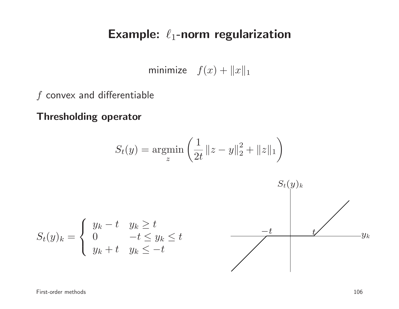# Example:  $\ell_1$ -norm regularization

minimize  $f(x) + ||x||_1$ 

 $f$  convex and differentiable

Thresholding operator

$$
S_t(y) = \underset{z}{\text{argmin}} \left( \frac{1}{2t} \|z - y\|_2^2 + \|z\|_1 \right)
$$

$$
S_t(y)_k = \begin{cases} y_k - t & y_k \ge t \\ 0 & -t \le y_k \le t \\ y_k + t & y_k \le -t \end{cases}
$$

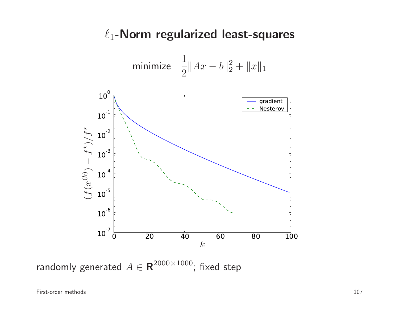## $\ell_1$ -Norm regularized least-squares

minimize 
$$
\frac{1}{2} ||Ax - b||_2^2 + ||x||_1
$$



randomly generated  $A \in \mathbf{R}^{2000 \times 1000}$ ; fixed step

First-order methods